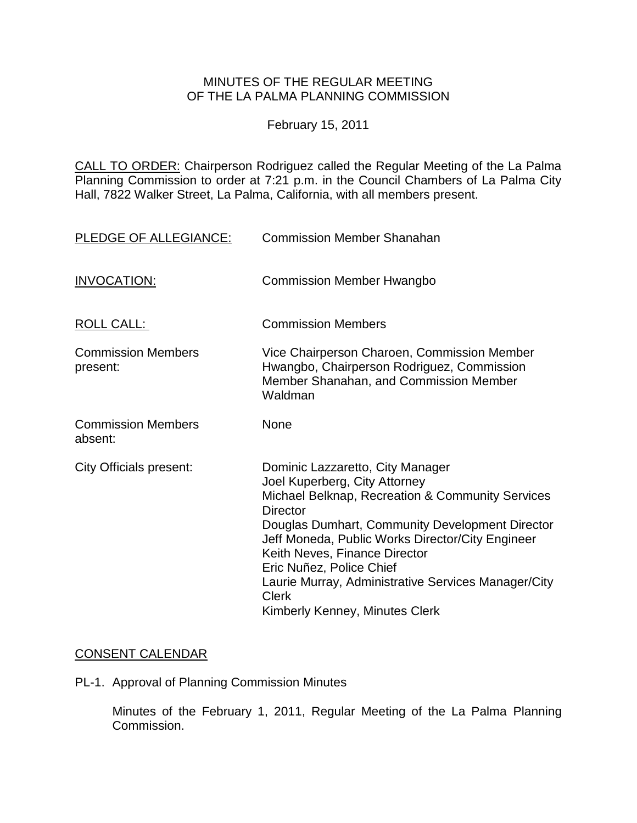## MINUTES OF THE REGULAR MEETING OF THE LA PALMA PLANNING COMMISSION

February 15, 2011

CALL TO ORDER: Chairperson Rodriguez [called the Regular Meeting of the La Palma](http://lapalma.granicus.com/MediaPlayerFrameHandler.php?view_id=&clip_id=551&meta_id=70894)  Planning Commission to order at 7:21 [p.m. in the Council Chambers of La Palma City](http://lapalma.granicus.com/MediaPlayerFrameHandler.php?view_id=&clip_id=551&meta_id=70894)  [Hall, 7822 Walker Street, La Palma, California, with all members present.](http://lapalma.granicus.com/MediaPlayerFrameHandler.php?view_id=&clip_id=551&meta_id=70894) 

| PLEDGE OF ALLEGIANCE:                 | <b>Commission Member Shanahan</b>                                                                                                                                                                                                                                                                                                                                                                              |
|---------------------------------------|----------------------------------------------------------------------------------------------------------------------------------------------------------------------------------------------------------------------------------------------------------------------------------------------------------------------------------------------------------------------------------------------------------------|
| <b>INVOCATION:</b>                    | <b>Commission Member Hwangbo</b>                                                                                                                                                                                                                                                                                                                                                                               |
| ROLL CALL:                            | <b>Commission Members</b>                                                                                                                                                                                                                                                                                                                                                                                      |
| <b>Commission Members</b><br>present: | Vice Chairperson Charoen, Commission Member<br>Hwangbo, Chairperson Rodriguez, Commission<br>Member Shanahan, and Commission Member<br>Waldman                                                                                                                                                                                                                                                                 |
| <b>Commission Members</b><br>absent:  | None                                                                                                                                                                                                                                                                                                                                                                                                           |
| City Officials present:               | Dominic Lazzaretto, City Manager<br>Joel Kuperberg, City Attorney<br>Michael Belknap, Recreation & Community Services<br>Director<br>Douglas Dumhart, Community Development Director<br>Jeff Moneda, Public Works Director/City Engineer<br>Keith Neves, Finance Director<br>Eric Nuñez, Police Chief<br>Laurie Murray, Administrative Services Manager/City<br><b>Clerk</b><br>Kimberly Kenney, Minutes Clerk |

# [CONSENT CALENDAR](http://lapalma.granicus.com/MediaPlayerFrameHandler.php?view_id=&clip_id=551&meta_id=70826)

PL-1. Approval of Planning Commission Minutes

Minutes of the February 1, 2011, Regular Meeting of the La Palma Planning Commission.